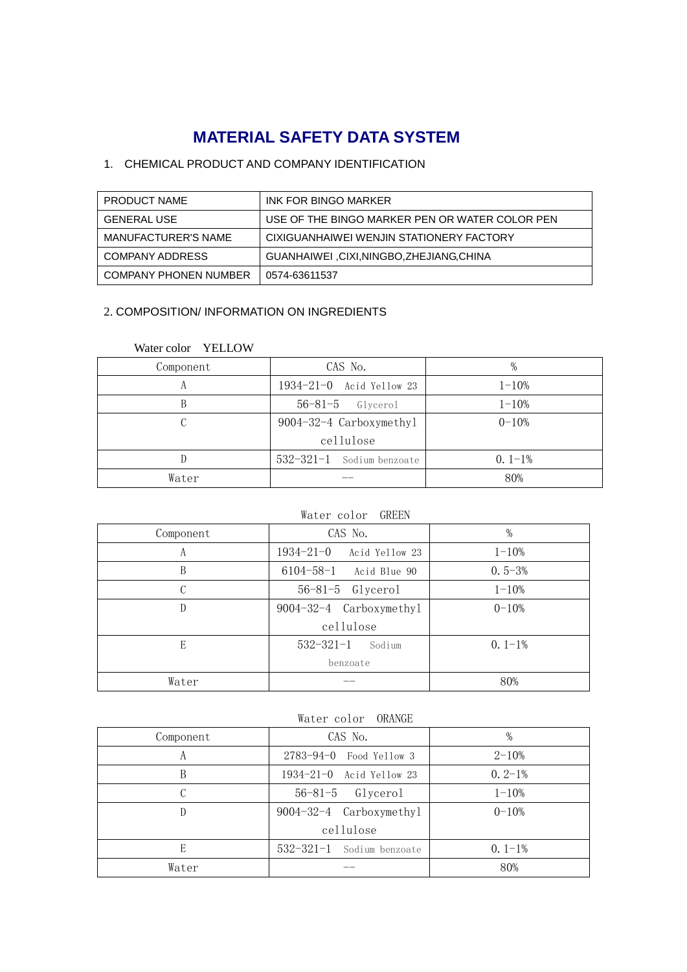# **MATERIAL SAFETY DATA SYSTEM**

# 1. CHEMICAL PRODUCT AND COMPANY IDENTIFICATION

| PRODUCT NAME               | INK FOR BINGO MARKER                           |
|----------------------------|------------------------------------------------|
| <b>GENERAL USE</b>         | USE OF THE BINGO MARKER PEN OR WATER COLOR PEN |
| <b>MANUFACTURER'S NAME</b> | CIXIGUANHAIWEI WENJIN STATIONERY FACTORY       |
| <b>COMPANY ADDRESS</b>     | GUANHAIWEI ,CIXI,NINGBO,ZHEJIANG,CHINA         |
| COMPANY PHONEN NUMBER      | 0574-63611537                                  |

## 2. COMPOSITION/ INFORMATION ON INGREDIENTS

| Component | CAS No.                     | $\%$      |
|-----------|-----------------------------|-----------|
| А         | 1934-21-0 Acid Yellow 23    | $1 - 10%$ |
| В         | $56-81-5$ Glycerol          | $1 - 10%$ |
|           | 9004-32-4 Carboxymethyl     | $0 - 10%$ |
|           | cellulose                   |           |
|           | $532-321-1$ Sodium benzoate | $0.1-1%$  |
| Water     |                             | 80%       |

## Water color YELLOW

## Water color GREEN

| Component | CAS No.                           | %          |
|-----------|-----------------------------------|------------|
| А         | $1934 - 21 - 0$<br>Acid Yellow 23 | $1 - 10%$  |
| B         | $6104 - 58 - 1$<br>Acid Blue 90   | $0.5 - 3%$ |
|           | $56-81-5$ Glycerol                | $1 - 10%$  |
| D         | 9004-32-4 Carboxymethyl           | $0 - 10%$  |
|           | cellulose                         |            |
| E         | $532 - 321 - 1$<br>Sodium         | $0.1-1%$   |
|           | benzoate                          |            |
| Water     |                                   | 80%        |

## Water color ORANGE

| Component | CAS No.                   | %           |
|-----------|---------------------------|-------------|
|           | $2783-94-0$ Food Yellow 3 | $2 - 10%$   |
| В         | 1934-21-0 Acid Yellow 23  | $0.2 - 1\%$ |
|           | $56-81-5$ $Glycerol$      | $1 - 10\%$  |
|           | 9004-32-4 Carboxymethyl   | $0 - 10%$   |
|           | cellulose                 |             |
| F.        | 532-321-1 Sodium benzoate | $0.1-1%$    |
| Water     |                           | 80%         |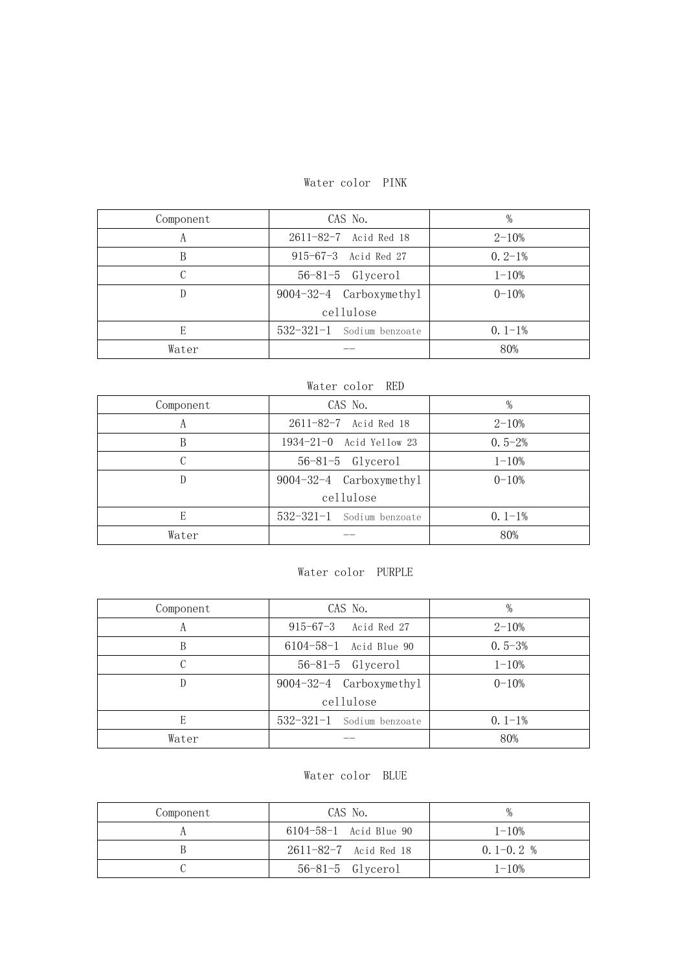## Water color PINK

| Component | CAS No.                   | $\%$        |
|-----------|---------------------------|-------------|
| A         | 2611-82-7 Acid Red 18     | $2 - 10%$   |
|           | 915-67-3 Acid Red 27      | $0.2 - 1\%$ |
|           | $56-81-5$ Glycerol        | $1 - 10%$   |
|           | 9004-32-4 Carboxymethyl   | $0 - 10%$   |
|           | cellulose                 |             |
| F.        | 532-321-1 Sodium benzoate | $0.1-1%$    |
| Water     |                           | 80%         |

| Water color RED |                           |            |
|-----------------|---------------------------|------------|
| Component       | CAS No.                   | $\%$       |
| А               | 2611-82-7 Acid Red 18     | $2 - 10%$  |
| B               | 1934-21-0 Acid Yellow 23  | $0.5 - 2%$ |
|                 | $56-81-5$ Glycerol        | $1 - 10%$  |
| D               | 9004-32-4 Carboxymethyl   | $0 - 10%$  |
|                 | cellulose                 |            |
| E               | 532-321-1 Sodium benzoate | $0.1-1%$   |
| Water           |                           | 80%        |

## Water color PURPLE

| Component | CAS No.                   | %          |
|-----------|---------------------------|------------|
| A         | 915-67-3 Acid Red 27      | $2 - 10%$  |
| В         | 6104-58-1 Acid Blue 90    | $0.5 - 3%$ |
|           | $56-81-5$ Glycerol        | $1 - 10%$  |
|           | 9004-32-4 Carboxymethyl   | $0 - 10%$  |
|           | cellulose                 |            |
| E         | 532-321-1 Sodium benzoate | $0.1-1%$   |
| Water     |                           | 80%        |

## Water color BLUE

| Component | CAS No.                     | $\%$          |
|-----------|-----------------------------|---------------|
|           | 6104-58-1 Acid Blue 90      | $1 - 10\%$    |
|           | $2611 - 82 - 7$ Acid Red 18 | $0, 1-0, 2$ % |
|           | $56-81-5$ Glycerol          | $1 - 10\%$    |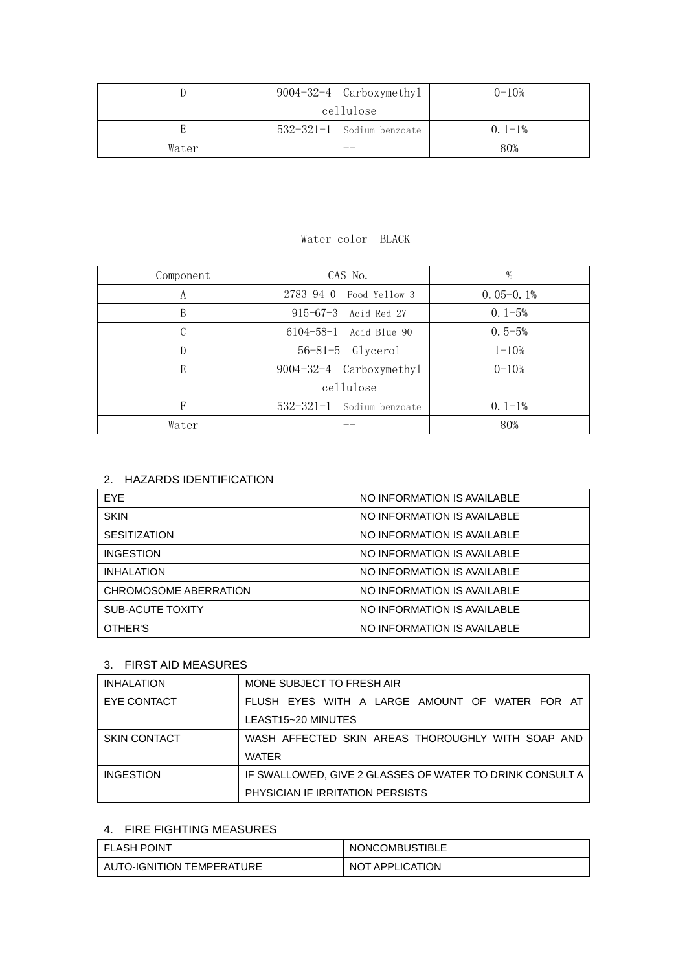|       | 9004-32-4 Carboxymethyl   | $0 - 10%$   |
|-------|---------------------------|-------------|
|       | cellulose                 |             |
|       | 532-321-1 Sodium benzoate | $0.1 - 1\%$ |
| Water |                           | 80%         |

## Water color BLACK

| Component | CAS No.                       | $\%$        |
|-----------|-------------------------------|-------------|
| А         | $2783 - 94 - 0$ Food Yellow 3 | $0.05-0.1%$ |
| В         | $915 - 67 - 3$ Acid Red 27    | $0.1 - 5%$  |
|           | 6104-58-1 Acid Blue 90        | $0.5 - 5%$  |
| D         | $56-81-5$ Glycerol            | $1 - 10%$   |
| E         | 9004-32-4 Carboxymethyl       | $0 - 10%$   |
|           | cellulose                     |             |
|           | 532-321-1 Sodium benzoate     | $0.1-1%$    |
| Water     |                               | 80%         |

## 2. HAZARDS IDENTIFICATION

| EYE.                  | NO INFORMATION IS AVAILABLE |
|-----------------------|-----------------------------|
| <b>SKIN</b>           | NO INFORMATION IS AVAILABLE |
| <b>SESITIZATION</b>   | NO INFORMATION IS AVAILABLE |
| <b>INGESTION</b>      | NO INFORMATION IS AVAILABLE |
| <b>INHALATION</b>     | NO INFORMATION IS AVAILABLE |
| CHROMOSOME ABERRATION | NO INFORMATION IS AVAILABLE |
| SUB-ACUTE TOXITY      | NO INFORMATION IS AVAILABLE |
| OTHER'S               | NO INFORMATION IS AVAILABLE |

## 3. FIRST AID MEASURES

| <b>INHALATION</b>   | MONE SUBJECT TO FRESH AIR                                |
|---------------------|----------------------------------------------------------|
| EYE CONTACT         | FLUSH EYES WITH A LARGE AMOUNT OF WATER FOR AT           |
|                     | LEAST15~20 MINUTES                                       |
| <b>SKIN CONTACT</b> | WASH AFFECTED SKIN AREAS THOROUGHLY WITH SOAP AND        |
|                     | <b>WATER</b>                                             |
| <b>INGESTION</b>    | IF SWALLOWED. GIVE 2 GLASSES OF WATER TO DRINK CONSULT A |
|                     | PHYSICIAN IF IRRITATION PERSISTS                         |

# 4. FIRE FIGHTING MEASURES

| I FLASH POINT             | <b>NONCOMBUSTIBLE</b> |
|---------------------------|-----------------------|
| AUTO-IGNITION TEMPERATURE | NOT APPLICATION       |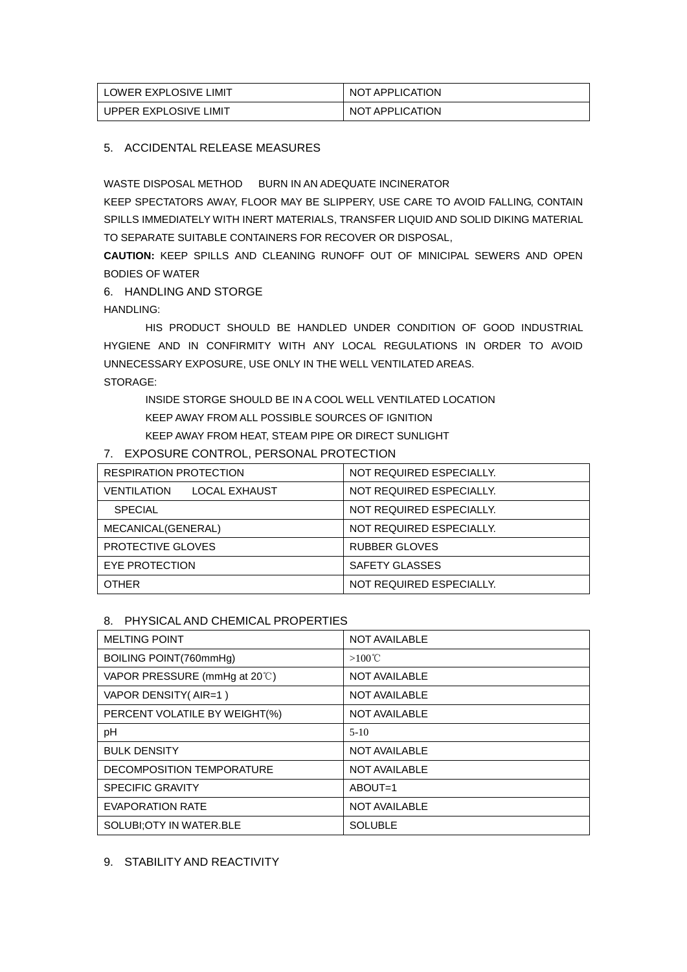| LOWER EXPLOSIVE LIMIT | NOT APPLICATION |
|-----------------------|-----------------|
| UPPER EXPLOSIVE LIMIT | NOT APPLICATION |

#### 5. ACCIDENTAL RELEASE MEASURES

WASTE DISPOSAL METHOD BURN IN AN ADEQUATE INCINERATOR KEEP SPECTATORS AWAY, FLOOR MAY BE SLIPPERY, USE CARE TO AVOID FALLING, CONTAIN SPILLS IMMEDIATELY WITH INERT MATERIALS, TRANSFER LIQUID AND SOLID DIKING MATERIAL TO SEPARATE SUITABLE CONTAINERS FOR RECOVER OR DISPOSAL,

**CAUTION:** KEEP SPILLS AND CLEANING RUNOFF OUT OF MINICIPAL SEWERS AND OPEN BODIES OF WATER

6. HANDLING AND STORGE

HANDLING:

HIS PRODUCT SHOULD BE HANDLED UNDER CONDITION OF GOOD INDUSTRIAL HYGIENE AND IN CONFIRMITY WITH ANY LOCAL REGULATIONS IN ORDER TO AVOID UNNECESSARY EXPOSURE, USE ONLY IN THE WELL VENTILATED AREAS. STORAGE:

INSIDE STORGE SHOULD BE IN A COOL WELL VENTILATED LOCATION KEEP AWAY FROM ALL POSSIBLE SOURCES OF IGNITION KEEP AWAY FROM HEAT, STEAM PIPE OR DIRECT SUNLIGHT

## 7. EXPOSURE CONTROL, PERSONAL PROTECTION

| <b>RESPIRATION PROTECTION</b>       | NOT REQUIRED ESPECIALLY. |
|-------------------------------------|--------------------------|
| <b>LOCAL EXHAUST</b><br>VENTILATION | NOT REQUIRED ESPECIALLY. |
| <b>SPECIAL</b>                      | NOT REQUIRED ESPECIALLY. |
| MECANICAL(GENERAL)                  | NOT REQUIRED ESPECIALLY. |
| <b>PROTECTIVE GLOVES</b>            | <b>RUBBER GLOVES</b>     |
| EYE PROTECTION                      | SAFETY GLASSES           |
| <b>OTHER</b>                        | NOT REQUIRED ESPECIALLY. |

#### 8. PHYSICAL AND CHEMICAL PROPERTIES

| <b>MELTING POINT</b>          | <b>NOT AVAILABLE</b> |
|-------------------------------|----------------------|
| BOILING POINT(760mmHg)        | $>100^{\circ}$ C     |
| VAPOR PRESSURE (mmHg at 20°C) | <b>NOT AVAILABLE</b> |
| VAPOR DENSITY (AIR=1)         | <b>NOT AVAILABLE</b> |
| PERCENT VOLATILE BY WEIGHT(%) | <b>NOT AVAILABLE</b> |
| рH                            | $5-10$               |
| <b>BULK DENSITY</b>           | <b>NOT AVAILABLE</b> |
| DECOMPOSITION TEMPORATURE     | <b>NOT AVAILABLE</b> |
| <b>SPECIFIC GRAVITY</b>       | ABOUT=1              |
| <b>EVAPORATION RATE</b>       | <b>NOT AVAILABLE</b> |
| SOLUBI: OTY IN WATER. BLE     | <b>SOLUBLE</b>       |

#### 9. STABILITY AND REACTIVITY